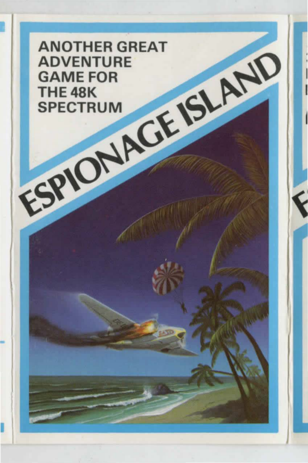ANOTHER GREAT ADVENTURE GAME FOR THE 48K SPECTRUM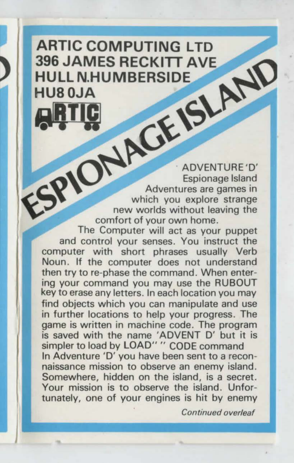## **ARTIC COMPUTING LTD 396 JAMES RECKITT AVE HULL N.HUMBERSIDE HUS OJA ALL**

**Library 25 /20** 

ADVENTURE 'D' Adventures are games in<br>
New worlds without leaving the<br>
The Computer will act as your puppet<br>
The Computer will act as your puppet

and control your senses. You instruct the computer with short phrases usually Verb Noun. If the computer does not understand then try to re-phase the command. When entering your command you may use the RUBOUT key to erase any letters. In each location you may find objects which you can manipulate and use in further locations to help your progress. The game is written in machine code. The program is saved with the name "ADVENT D' but it is simpler to load by LOAD" " CODE command In Adventure 'D' you have been sent to a reconnaissance mission to observe an enemy island. Somewhere, hidden on the island, is a secret. Your mission is to observe the island. Unfortunately, one of your engines is hit by enemy

**Continued overleaf**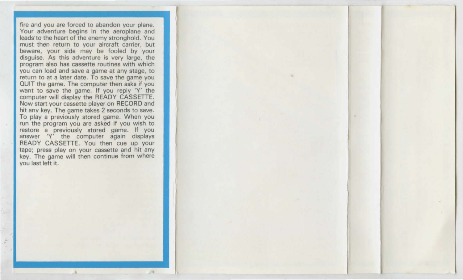fire and you are forced to abandon your plane. Your adventure begins in the aeroplane and leads to the heart of the enemy stronghold. You must then return to your aircraft carrier, but beware, your side may be fooled by your disguise. As this adventure is very large, the program also has cassette routines with which you can load and save a game at any stage, to return to at a later date. To save the game you QUIT the game. The computer then asks if you want to save the game. If you reply 'Y' the computer will display the READY CASSETTE. Now start your cassette player on RECORD and hit any key. The game takes 2 seconds to save. To play a previously stored game. When you run the program you are asked if you wish to restore a previously stored game. If you answer 'Y' the computer again displays READY CASSETTE. You then cue up your tape; press play on your cassette and hit any key. The game will then continue from where you last left it.